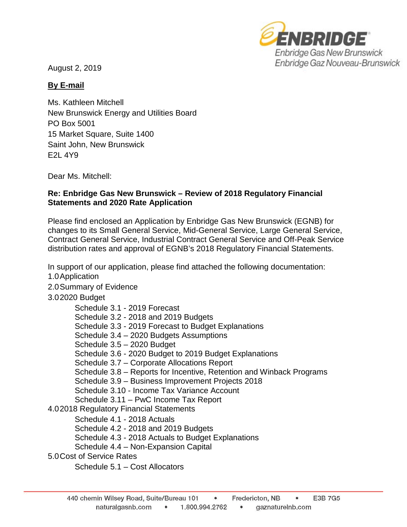

August 2, 2019

## **By E-mail**

Ms. Kathleen Mitchell New Brunswick Energy and Utilities Board PO Box 5001 15 Market Square, Suite 1400 Saint John, New Brunswick E2L 4Y9

Dear Ms. Mitchell:

## **Re: Enbridge Gas New Brunswick – Review of 2018 Regulatory Financial Statements and 2020 Rate Application**

Please find enclosed an Application by Enbridge Gas New Brunswick (EGNB) for changes to its Small General Service, Mid-General Service, Large General Service, Contract General Service, Industrial Contract General Service and Off-Peak Service distribution rates and approval of EGNB's 2018 Regulatory Financial Statements.

In support of our application, please find attached the following documentation:

- 1.0Application
- 2.0Summary of Evidence

## 3.02020 Budget

Schedule 3.1 - 2019 Forecast Schedule 3.2 - 2018 and 2019 Budgets Schedule 3.3 - 2019 Forecast to Budget Explanations Schedule 3.4 – 2020 Budgets Assumptions Schedule 3.5 – 2020 Budget Schedule 3.6 - 2020 Budget to 2019 Budget Explanations Schedule 3.7 – Corporate Allocations Report Schedule 3.8 – Reports for Incentive, Retention and Winback Programs Schedule 3.9 – Business Improvement Projects 2018 Schedule 3.10 - Income Tax Variance Account Schedule 3.11 – PwC Income Tax Report 4.02018 Regulatory Financial Statements Schedule 4.1 - 2018 Actuals Schedule 4.2 - 2018 and 2019 Budgets Schedule 4.3 - 2018 Actuals to Budget Explanations Schedule 4.4 – Non-Expansion Capital 5.0Cost of Service Rates Schedule 5.1 – Cost Allocators